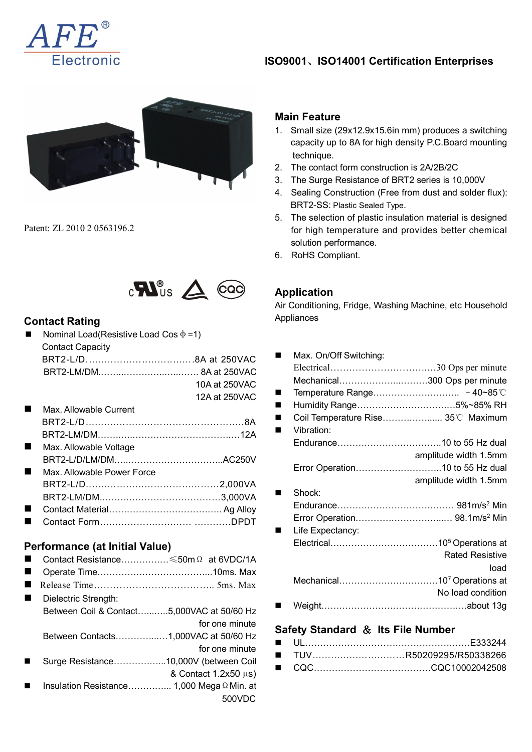

## **ISO9001**、**ISO14001 Certification Enterprises**



Patent: ZL 2010 2 0563196.2



### **Contact Rating**

| <b>Nominal Load (Resistive Load Cos <math>\phi = 1</math>)</b> |               |                       |
|----------------------------------------------------------------|---------------|-----------------------|
| <b>Contact Capacity</b>                                        |               |                       |
|                                                                |               | Max. On/Off Switching |
|                                                                |               |                       |
|                                                                | 10A at 250VAC | Mechanical            |
|                                                                | 12A at 250VAC | Temperature Range     |

 Max. Allowable Current BRT2-L/D……..…..……………………………..…8A BRT2-LM/DM……..…..…………………………..…12A **Max. Allowable Voltage** BRT2-L/D/LM/DM…..…………………………..AC250V **Max. Allowable Power Force** BRT2-L/D..……..……………………………2,000VA BRT2-LM/DM..……..…………………………3,000VA Contact Material……………………………….. Ag Alloy Contact Form………………………… …………DPDT

# **Performance (at Initial Value)**

|   | Contact Resistance ≤50m Ω at 6VDC/1A                               |                                              |                                    |
|---|--------------------------------------------------------------------|----------------------------------------------|------------------------------------|
|   |                                                                    |                                              |                                    |
|   |                                                                    |                                              | Mechanical                         |
| ш | Dielectric Strength:<br>Between Coil & Contact5,000VAC at 50/60 Hz |                                              | Weight                             |
|   | Between Contacts1,000VAC at 50/60 Hz                               | for one minute                               | <b>Safety Standard &amp;</b><br>UL |
|   | Surge Resistance10,000V (between Coil                              | for one minute<br>& Contact $1.2x50 \mu s$ ) | <b>TUV</b><br>$\mathbf{r}$<br>CQC  |
|   | Insulation Resistance 1,000 Mega $\Omega$ Min. at                  | 500VDC                                       |                                    |

#### **Main Feature**

- 1. Small size (29x12.9x15.6in mm) produces a switching capacity up to 8A for high density P.C.Board mounting technique.
- 2. The contact form construction is 2A/2B/2C
- 3. The Surge Resistance of BRT2 series is 10,000V
- 4. Sealing Construction (Free from dust and solder flux): BRT2-SS: Plastic Sealed Type.
- 5. The selection of plastic insulation material is designed for high temperature and provides better chemical solution performance.
- 6. RoHS Compliant.

## **Application**

Air Conditioning, Fridge, Washing Machine, etc Household Appliances

| 8A at 250VAC                          | Max. On/Off Switching:<br>п             |
|---------------------------------------|-----------------------------------------|
| .8A at 250VAC                         |                                         |
| 10A at 250VAC                         | Mechanical300 Ops per minute            |
| 12A at 250VAC                         | $\blacksquare$                          |
|                                       | Humidity Range5%~85% RH                 |
| . 8A                                  | Coil Temperature Rise 35°C Maximum<br>п |
| 12A                                   | Vibration:<br>$\blacksquare$            |
|                                       |                                         |
| AC250V                                | amplitude width 1.5mm                   |
|                                       |                                         |
| $\ldots \ldots 2,000\,$ VA            | amplitude width 1.5mm                   |
| $\ldots \ldots \ldots 3,000\text{VA}$ | Shock:<br>$\blacksquare$                |
| Ag Alloy                              |                                         |
| DPDT                                  |                                         |
|                                       | Life Expectancy:<br>$\blacksquare$      |
|                                       |                                         |
| $\Omega$ at 6VDC/1A                   | <b>Rated Resistive</b>                  |
| 10ms. Max                             | load                                    |
| $\ldots$ 5ms. Max                     |                                         |
|                                       | No load condition                       |
| 'AC at 50/60 Hz                       |                                         |

## for one minute **Safety Standard** & **Its File Number**

| for one minute                                   | ■ TUVR50209295/R50338266 |
|--------------------------------------------------|--------------------------|
| (between Coil                                    |                          |
| $\sim + 1.25$ $\sim$ $\sim$ $\sim$ $\sim$ $\sim$ |                          |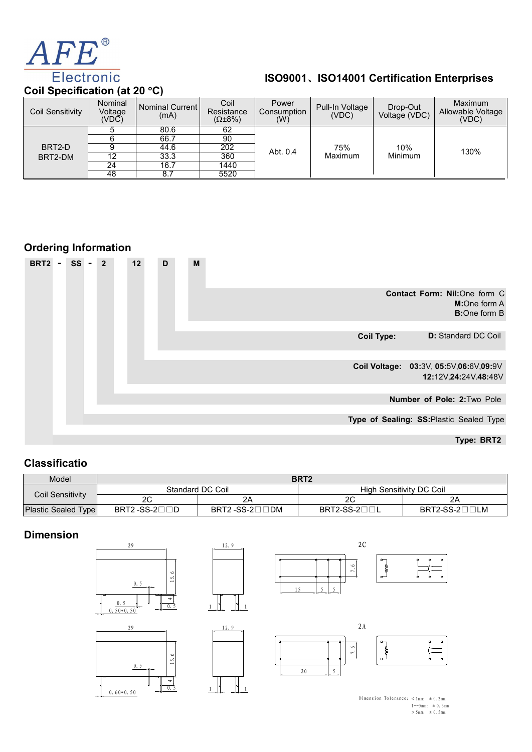

| AFE®                                               |                                                                                   |                                             |                                                     |                             |                                            |                           |                                       |
|----------------------------------------------------|-----------------------------------------------------------------------------------|---------------------------------------------|-----------------------------------------------------|-----------------------------|--------------------------------------------|---------------------------|---------------------------------------|
| <b>Electronic</b><br>Coil Specification (at 20 °C) |                                                                                   |                                             |                                                     |                             | ISO9001、ISO14001 Certification Enterprises |                           |                                       |
| <b>Coil Sensitivity</b>                            | Nominal<br>Voltage<br>$(VD\breve{C})$                                             | Nominal Current<br>(mA)                     | Coil<br>Resistance<br>$(\Omega \pm 8\%)$            | Power<br>Consumption<br>(W) | Pull-In Voltage<br>(VDC)                   | Drop-Out<br>Voltage (VDC) | Maximum<br>Allowable Voltage<br>(VDC) |
| BRT2-D<br>BRT2-DM                                  | 5<br>$\overline{6}$<br>$\overline{9}$<br>$\overline{12}$<br>$\overline{24}$<br>48 | 80.6<br>66.7<br>44.6<br>33.3<br>16.7<br>8.7 | 62<br>$\overline{90}$<br>202<br>360<br>1440<br>5520 | Abt. 0.4                    | 75%<br>Maximum                             | 10%<br>Minimum            | 130%                                  |



## **Classificatio**

|                         |                                     |               |                  | Number of Pole: 2: Two Pole              |
|-------------------------|-------------------------------------|---------------|------------------|------------------------------------------|
|                         |                                     |               |                  | Type of Sealing: SS: Plastic Sealed Type |
|                         |                                     |               |                  | Type: BRT2                               |
| <b>Classificatio</b>    |                                     |               |                  |                                          |
| Model                   |                                     |               | BRT <sub>2</sub> |                                          |
|                         | Standard DC Coil                    |               |                  | <b>High Sensitivity DC Coil</b>          |
| <b>Coil Sensitivity</b> | 2C                                  | 2A            | 2C               | 2A                                       |
| Plastic Sealed Type     | BRT2-SS-2 $\square \square \square$ | BRT2-SS-2□□DM | BRT2-SS-200L     | BRT2-SS-2□□LM                            |
| <b>Dimension</b>        | 29                                  | 12.9          | 2C               |                                          |

## **Dimension**



 $\overline{\phantom{a}}$ 





 $\begin{bmatrix} 0.5 \\ 1 \end{bmatrix}$   $\begin{bmatrix} 1 \\ 1 \end{bmatrix}$  1





Dimension Tolerance:  $< 1$ mm:  $\pm 0.2$ mm  $1--5mm:±0.3mm$ <br>> 5mm:  $±0.5mm$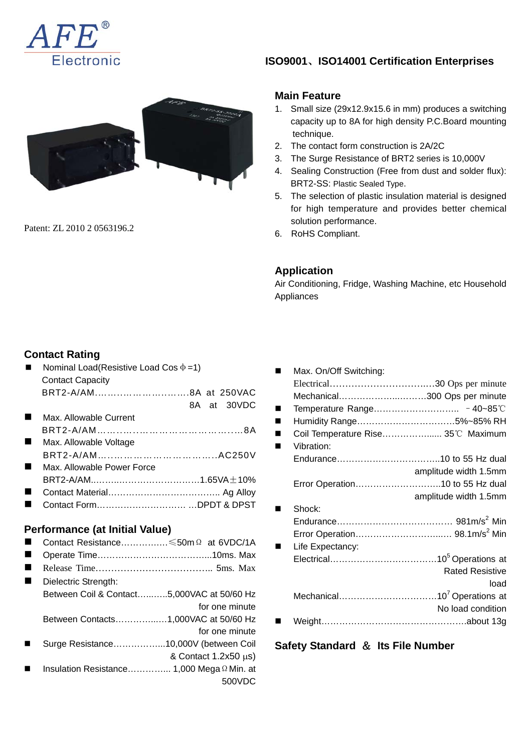



Patent: ZL 2010 2 0563196.2

## **ISO9001**、**ISO14001 Certification Enterprises**

#### **Main Feature**

- 1. Small size (29x12.9x15.6 in mm) produces a switching capacity up to 8A for high density P.C.Board mounting technique.
- 2. The contact form construction is 2A/2C
- 3. The Surge Resistance of BRT2 series is 10,000V
- 4. Sealing Construction (Free from dust and solder flux): BRT2-SS: Plastic Sealed Type.
- 5. The selection of plastic insulation material is designed for high temperature and provides better chemical solution performance.
- 6. RoHS Compliant.

### **Application**

Air Conditioning, Fridge, Washing Machine, etc Household Appliances

## **Contact Rating**

| Nominal Load(Resistive Load Cos $\Phi = 1$ ) |  |  |  |  |
|----------------------------------------------|--|--|--|--|
| <b>Contact Capacity</b>                      |  |  |  |  |
|                                              |  |  |  |  |
| 8A at 30VDC                                  |  |  |  |  |
| Max. Allowable Current                       |  |  |  |  |
|                                              |  |  |  |  |
| Max. Allowable Voltage                       |  |  |  |  |
|                                              |  |  |  |  |
| Max, Allowable Power Force                   |  |  |  |  |
|                                              |  |  |  |  |
|                                              |  |  |  |  |
| Contact FormDPDT & DPST                      |  |  |  |  |
|                                              |  |  |  |  |

### **Performance (at Initial Value)**

- Contact Resistance………….…≤50mΩ at 6VDC/1A
- Operate Time………………………………...10ms. Max
- Release Time……………………………….. 5ms. Max
- Dielectric Strength: Between Coil & Contact…...…..5,000VAC at 50/60 Hz for one minute Between Contacts…………...…1,000VAC at 50/60 Hz for one minute Surge Resistance……………...10,000V (between Coil & Contact 1.2x50 μs)
- Insulation Resistance…………... 1,000 MegaΩMin. at 500VDC

| Max. On/Off Switching:             |                        |
|------------------------------------|------------------------|
|                                    |                        |
| Mechanical300 Ops per minute       |                        |
|                                    |                        |
| Humidity Range5%~85% RH            |                        |
| Coil Temperature Rise 35°C Maximum |                        |
| Vibration:                         |                        |
|                                    |                        |
|                                    | amplitude width 1.5mm  |
| Error Operation10 to 55 Hz dual    |                        |
|                                    | amplitude width 1.5mm  |
| Shock:                             |                        |
|                                    |                        |
|                                    |                        |
| Life Expectancy:                   |                        |
|                                    |                        |
|                                    | <b>Rated Resistive</b> |
|                                    | load                   |
|                                    |                        |
|                                    | No load condition      |
|                                    |                        |

### **Safety Standard** & **Its File Number**